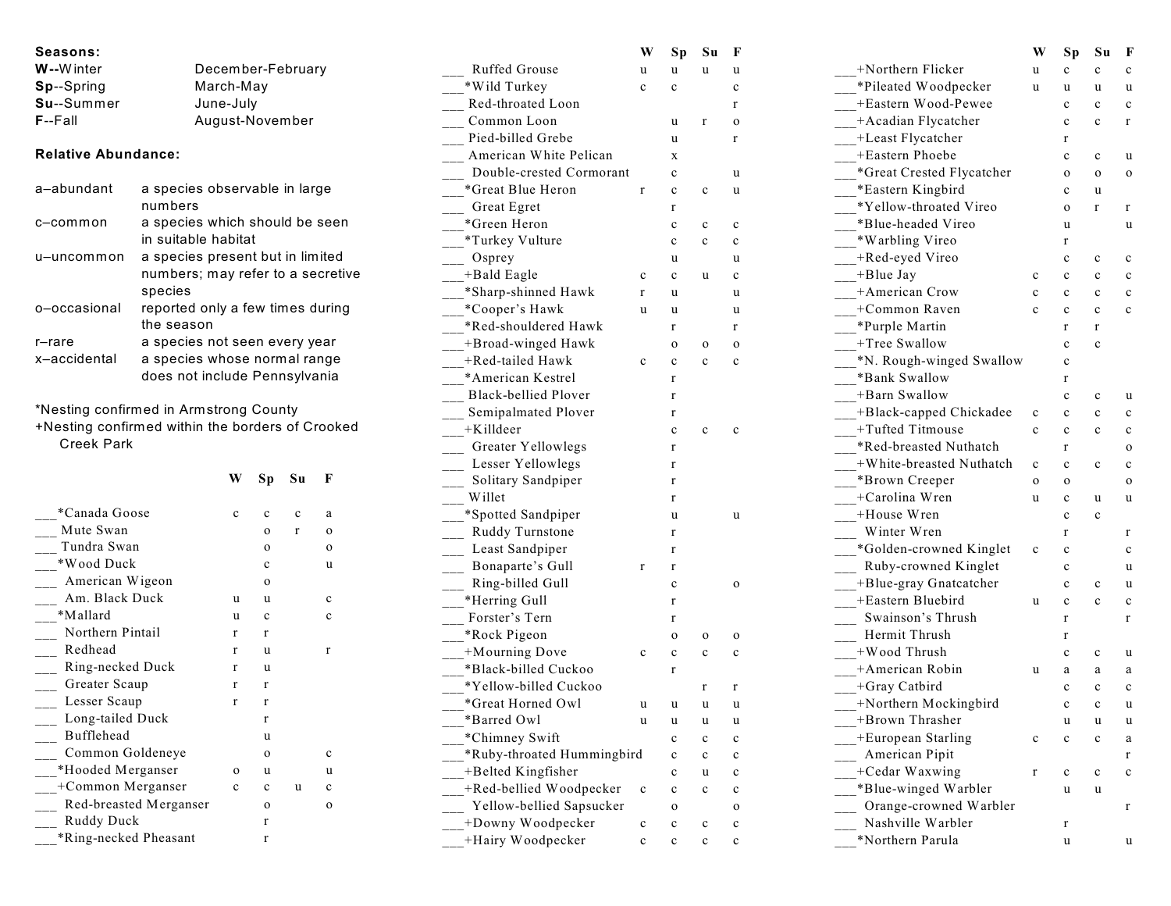| Seasons:                                         |                                   |                                  |                   |                        |                                               | W            | Sp           | Su           | F            |
|--------------------------------------------------|-----------------------------------|----------------------------------|-------------------|------------------------|-----------------------------------------------|--------------|--------------|--------------|--------------|
| W--Winter                                        | December-February                 |                                  |                   |                        | Ruffed Grouse                                 | u            | u            | u            | u            |
| Sp--Spring                                       | March-May                         |                                  |                   |                        | *Wild Turkey                                  | $\mathbf c$  | $\mathbf c$  |              | c            |
| Su--Summer                                       | June-July                         |                                  |                   |                        | Red-throated Loon                             |              |              |              | r            |
| $F - F$ all<br>August-November                   |                                   |                                  |                   |                        | Common Loon                                   |              | u            | $\mathbf r$  | $\mathbf 0$  |
|                                                  |                                   |                                  | Pied-billed Grebe |                        | u                                             |              | $\mathbf{r}$ |              |              |
| <b>Relative Abundance:</b>                       |                                   |                                  |                   | American White Pelican |                                               | X            |              |              |              |
|                                                  |                                   |                                  |                   |                        | Double-crested Cormorant                      |              | $\mathbf c$  |              | u            |
| a-abundant                                       | a species observable in large     |                                  |                   |                        | *Great Blue Heron                             | $\mathbf r$  | $\mathbf c$  | $\mathbf c$  | u            |
|                                                  | numbers                           |                                  |                   |                        | Great Egret                                   |              | r            |              |              |
| c-common                                         | a species which should be seen    |                                  |                   |                        | *Green Heron                                  |              | $\mathbf c$  | $\mathbf c$  | $\mathbf c$  |
|                                                  | in suitable habitat               |                                  |                   |                        | *Turkey Vulture                               |              | $\mathbf c$  | $\mathbf c$  | $\mathbf c$  |
| u–uncommon                                       | a species present but in limited  |                                  |                   |                        | Osprey                                        |              | u            |              | u            |
|                                                  | numbers; may refer to a secretive |                                  |                   |                        | +Bald Eagle                                   | $\mathbf c$  | $\mathbf c$  | u            | c            |
|                                                  | species                           |                                  |                   |                        | *Sharp-shinned Hawk                           | $\mathbf r$  | u            |              | u            |
| o-occasional                                     |                                   | reported only a few times during |                   |                        | *Cooper's Hawk                                | u            | u            |              | u            |
|                                                  | the season                        |                                  |                   |                        | *Red-shouldered Hawk                          |              | r            |              | $\mathbf r$  |
| $r$ -rare                                        | a species not seen every year     |                                  |                   |                        | +Broad-winged Hawk                            |              | $\mathbf 0$  | $\mathbf{o}$ | $\mathbf{o}$ |
| x-accidental                                     | a species whose normal range      |                                  |                   |                        | +Red-tailed Hawk                              | $\mathbf c$  | $\mathbf c$  | $\mathbf c$  | $\mathbf c$  |
|                                                  | does not include Pennsylvania     |                                  |                   |                        | *American Kestrel                             |              | r            |              |              |
|                                                  |                                   |                                  |                   |                        | <b>Black-bellied Plover</b>                   |              | r            |              |              |
| *Nesting confirmed in Armstrong County           |                                   |                                  |                   |                        | Semipalmated Plover                           |              | r            |              |              |
| +Nesting confirmed within the borders of Crooked |                                   |                                  |                   |                        | +Killdeer                                     |              | $\mathbf c$  | $\mathbf c$  | $\mathbf c$  |
| <b>Creek Park</b>                                |                                   |                                  |                   |                        | Greater Yellowlegs                            |              | r            |              |              |
|                                                  |                                   |                                  |                   |                        | Lesser Yellowlegs                             |              | r            |              |              |
|                                                  | W                                 | Sp                               | Su                | F                      | Solitary Sandpiper                            |              | r            |              |              |
|                                                  |                                   |                                  |                   |                        | Willet                                        |              | r            |              |              |
| *Canada Goose                                    | $\mathbf c$                       | $\mathbf c$                      | $\mathbf c$       | a                      | *Spotted Sandpiper                            |              | u            |              | u            |
| Mute Swan                                        |                                   |                                  |                   |                        |                                               |              |              |              |              |
| Tundra Swan                                      |                                   | $\mathbf{o}$                     | $\mathbf r$       | 0                      |                                               |              | r            |              |              |
| *Wood Duck                                       |                                   | $\mathbf{o}$                     |                   | $\mathbf{o}$           | Ruddy Turnstone                               |              | r            |              |              |
| American Wigeon                                  |                                   | $\mathbf c$                      |                   | u                      | Least Sandpiper                               | $\mathbf{r}$ | $\mathbf r$  |              |              |
| Am. Black Duck                                   |                                   | $\mathbf{o}$                     |                   |                        | Bonaparte's Gull                              |              | $\mathbf c$  |              | $\mathbf{o}$ |
| *Mallard                                         | u                                 | u                                |                   | $\mathbf c$            | Ring-billed Gull                              |              | r            |              |              |
| Northern Pintail                                 | u                                 | c                                |                   | c                      | *Herring Gull<br>Forster's Tern               |              | r            |              |              |
|                                                  | $\mathbf{r}$                      | r                                |                   |                        | *Rock Pigeon                                  |              | $\mathbf 0$  | $\mathbf 0$  | $\mathbf 0$  |
| Redhead                                          | $\mathbf{r}$                      | u                                |                   | $\mathbf r$            |                                               | $\mathbf c$  | $\mathbf c$  | $\mathbf{c}$ | $\mathbf c$  |
| Ring-necked Duck                                 | $\mathbf r$                       | u                                |                   |                        | +Mourning Dove<br>*Black-billed Cuckoo        |              | $\mathbf r$  |              |              |
| Greater Scaup                                    | $\mathbf{r}$                      | r                                |                   |                        | *Yellow-billed Cuckoo                         |              |              | $\mathbf r$  | $\mathbf{r}$ |
| Lesser Scaup                                     | $\mathbf{r}$                      | r                                |                   |                        |                                               |              |              |              |              |
| Long-tailed Duck                                 |                                   | r                                |                   |                        | *Great Horned Owl<br>*Barred Owl              | u            | u            | u            | u<br>u       |
| Bufflehead                                       |                                   | u                                |                   |                        | *Chimney Swift                                |              | $\mathbf c$  | $\mathbf c$  | $\mathbf c$  |
| Common Goldeneye                                 |                                   | $\mathbf{o}$                     |                   | c                      | *Ruby-throated Hummingbird                    |              | $\mathbf c$  | $\mathbf c$  | $\mathbf c$  |
| *Hooded Merganser                                | $\mathbf 0$                       | u                                |                   | u                      |                                               |              | c            | u            | $\mathbf c$  |
| +Common Merganser                                | $\mathbf c$                       | $\mathbf c$                      | u                 | c                      | +Belted Kingfisher                            | $\mathbf c$  | $\mathbf c$  | $\mathbf c$  | $\mathbf c$  |
| Red-breasted Merganser                           |                                   | $\mathbf{o}$                     |                   | $\mathbf{o}$           | +Red-bellied Woodpecker                       |              | 0            |              | $\mathbf{o}$ |
| Ruddy Duck                                       |                                   | r                                |                   |                        | Yellow-bellied Sapsucker<br>+Downy Woodpecker | $\mathbf c$  | $\mathbf c$  | $\mathbf c$  | $\mathbf c$  |

|                                               | W           | Sp           | Su          | F           |
|-----------------------------------------------|-------------|--------------|-------------|-------------|
| $+N$ orthern Flicker                          | u           | c            | c           | c           |
| *Pileated Woodpecker                          | u           | u            | u           | u           |
| +Eastern Wood-Pewee                           |             | $\mathbf c$  | c           | $\mathbf c$ |
| -Acadian Flycatcher                           |             | c            | c           | r           |
| -Least Flycatcher                             |             | r            |             |             |
| +Eastern Phoebe                               |             | c            | c           | u           |
| *Great Crested Flycatcher                     |             | $\mathbf o$  | o           | o           |
| *Eastern Kingbird                             |             | c            | u           |             |
| *Yellow-throated Vireo                        |             | $\mathbf{o}$ | r           | r           |
| *Blue-headed Vireo                            |             | u            |             | u           |
| *Warbling Vireo                               |             | r            |             |             |
| +Red-eyed Vireo                               |             | c            | c           | c           |
| $+B$ lue Jay                                  | C           | C            | c           | c           |
| +American Crow                                | C           | C            | c           | c           |
| $+C$ ommon Raven                              | $\mathbf c$ | c            | c           | $\mathbf c$ |
| *Purple Martin                                |             | r            | r           |             |
| +Tree Swallow                                 |             | c            | c           |             |
| *N. Rough-winged Swallow                      |             | c            |             |             |
| Bank Swallow                                  |             | r            |             |             |
| -Barn Swallow                                 |             | c            | c           | u           |
| -Black-capped Chickadee                       | C           | c            | c           | c           |
| $+T$ ufted Titmouse                           | C           | c            | c           | c           |
| *Red-breasted Nuthatch                        |             | r            |             | o           |
| $+W$ hite-breasted Nuthatch                   | $\mathbf c$ | $\mathbf c$  | c           | c           |
| *Brown Creeper                                | o           | o            |             | o           |
| +Carolina Wren                                | u           | c            | u           | u           |
| +House Wren                                   |             | $\mathbf c$  | c           |             |
| Winter Wren                                   |             | r            |             | r           |
| *Golden-crowned Kinglet                       | C           | c            |             | c           |
| Ruby-crowned Kinglet<br>$\overline{a}$        |             | c            |             | u           |
| +Blue-gray Gnatcatcher                        |             | c            | c           | u           |
| +Eastern Bluebird                             | u           | c            | c           | $\mathbf c$ |
| Swainson's Thrush<br>$\overline{\phantom{0}}$ |             | r            |             | r           |
| Hermit Thrush                                 |             | r            |             |             |
| -Nood Thrush                                  |             | c            | c           | u           |
| -American Robin                               | u           | a            | a           | a           |
| -fGray Catbird                                |             | c            | c           | c           |
| +Northern Mockingbird                         |             | c            | c           | u           |
| +Brown Thrasher                               |             | u            | u           | u           |
| +European Starling                            | c           | c            | c           | a           |
| American Pipit                                |             |              |             | r           |
| +Cedar Waxwing                                | r           | c            | $\mathbf c$ | $\mathbf c$ |
| *Blue-winged Warbler                          |             | u            | u           |             |
| Orange-crowned Warbler                        |             |              |             | r           |
| Nashville Warbler                             |             | r            |             |             |
| *Northern Parula                              |             | u            |             | u           |